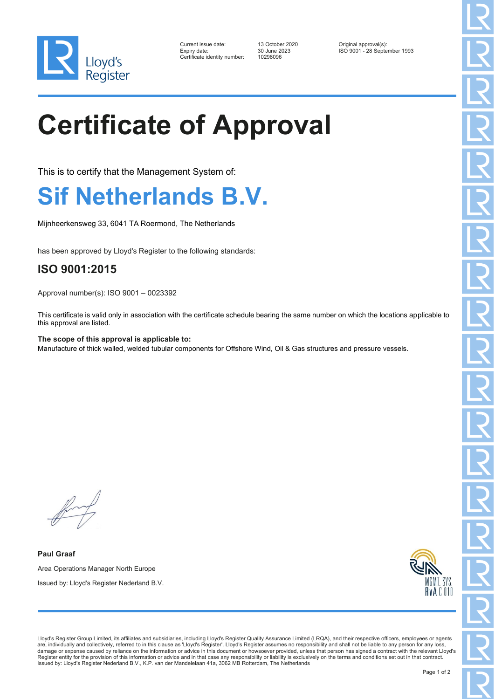

| Current issue date:        |
|----------------------------|
| Expiry date:               |
| Certificate identity numbe |

er: 10298096

13 October 2020 **Current Constrained August 2021**<br>30 June 2023 **Current ISO 9001** - 28 Septe ISO 9001 - 28 September 1993

## **Certificate of Approval**

This is to certify that the Management System of:

## **Sif Netherlands B.V.**

Mijnheerkensweg 33, 6041 TA Roermond, The Netherlands

has been approved by Lloyd's Register to the following standards:

## **ISO 9001:2015**

Approval number(s): ISO 9001 – 0023392

This certificate is valid only in association with the certificate schedule bearing the same number on which the locations applicable to this approval are listed.

**The scope of this approval is applicable to:** Manufacture of thick walled, welded tubular components for Offshore Wind, Oil & Gas structures and pressure vessels.

**Paul Graaf** Area Operations Manager North Europe Issued by: Lloyd's Register Nederland B.V.



Lloyd's Register Group Limited, its affiliates and subsidiaries, including Lloyd's Register Quality Assurance Limited (LRQA), and their respective officers, employees or agents are, individually and collectively, referred to in this clause as 'Lloyd's Register'. Lloyd's Register assumes no responsibility and shall not be liable to any person for any loss, damage or expense caused by reliance on the information or advice in this document or howsoever provided, unless that person has signed a contract with the relevant Lloyd's Register entity for the provision of this information or advice and in that case any responsibility or liability is exclusively on the terms and conditions set out in that contract. Issued by: Lloyd's Register Nederland B.V., K.P. van der Mandelelaan 41a, 3062 MB Rotterdam, The Netherlands